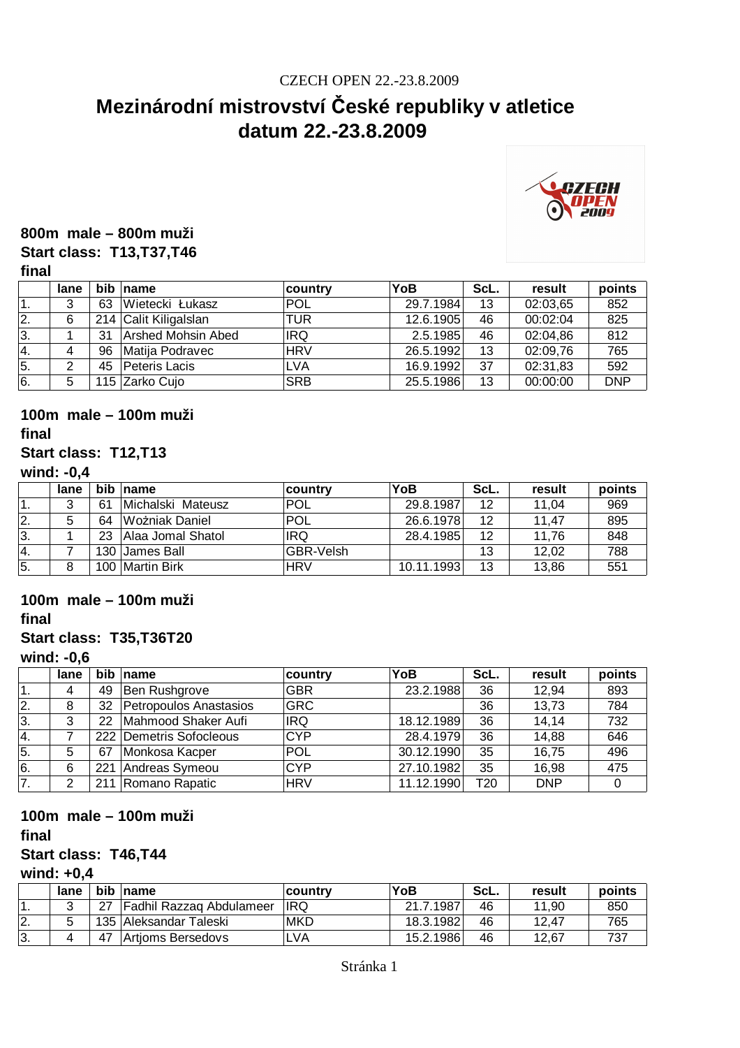# **Mezinárodní mistrovství České republiky v atletice datum 22.-23.8.2009**



#### **800m male – 800m muži Start class: T13,T37,T46**

#### **final**

|    | lane |    | bib name              | country    | <b>YoB</b> | ScL. | result   | points     |
|----|------|----|-----------------------|------------|------------|------|----------|------------|
|    | 3    | 63 | Wietecki Łukasz       | <b>POL</b> | 29.7.1984  | 13   | 02:03,65 | 852        |
| 2. | 6    |    | 214 Calit Kiligalslan | TUR        | 12.6.1905  | 46   | 00:02:04 | 825        |
| 3. |      | 31 | Arshed Mohsin Abed    | <b>IRQ</b> | 2.5.1985   | 46   | 02:04,86 | 812        |
| 4. |      | 96 | Matija Podravec       | <b>HRV</b> | 26.5.1992  | 13   | 02:09,76 | 765        |
| 5. |      | 45 | Peteris Lacis         | <b>LVA</b> | 16.9.1992  | 37   | 02:31,83 | 592        |
| 6. | 5    |    | 115 Zarko Cujo        | <b>SRB</b> | 25.5.1986  | 13   | 00:00:00 | <b>DNP</b> |

# **100m male – 100m muži**

#### **final**

### **Start class: T12,T13**

#### **wind: -0,4**

|     | lane | <b>bib</b> | name              | country          | YoB        | ScL. | result | points |
|-----|------|------------|-------------------|------------------|------------|------|--------|--------|
|     | っ    | 61         | Michalski Mateusz | 'POL             | 29.8.1987  | 12   | 11.04  | 969    |
| 2.  |      | 64         | Wożniak Daniel    | POL              | 26.6.1978  | 12   | 11.47  | 895    |
| ΙЗ. |      | 23         | Alaa Jomal Shatol | <b>IRQ</b>       | 28.4.1985  | 12   | 11.76  | 848    |
| 14. |      |            | 130 James Ball    | <b>GBR-Velsh</b> |            | 13   | 12.02  | 788    |
| 5.  |      |            | 100 Martin Birk   | <b>HRV</b>       | 10.11.1993 | 13   | 13,86  | 551    |

## **100m male – 100m muži**

**final**

#### **Start class: T35,T36T20**

#### **wind: -0,6**

|     | lane | bib | name                      | country    | YoB        | ScL. | result     | points |
|-----|------|-----|---------------------------|------------|------------|------|------------|--------|
|     |      | 49  | Ben Rushgrove             | <b>GBR</b> | 23.2.1988  | 36   | 12,94      | 893    |
| 2.  | 8    | 32  | Petropoulos Anastasios    | <b>GRC</b> |            | 36   | 13,73      | 784    |
| 3.  | 3    | 22  | Mahmood Shaker Aufi       | <b>IRQ</b> | 18.12.1989 | 36   | 14,14      | 732    |
| 14. |      |     | 222   Demetris Sofocleous | <b>CYP</b> | 28.4.1979  | 36   | 14,88      | 646    |
| 5.  | 5    | 67  | Monkosa Kacper            | POL        | 30.12.1990 | 35   | 16,75      | 496    |
| 6.  | 6    | 221 | Andreas Symeou            | <b>CYP</b> | 27.10.1982 | 35   | 16,98      | 475    |
| 7.  | ⌒    |     | 211 Romano Rapatic        | <b>HRV</b> | 11.12.1990 | T20  | <b>DNP</b> |        |

### **100m male – 100m muži**

**final**

#### **Start class: T46,T44**

#### **wind: +0,4**

|     | lane | bib  | name                            | ∣countrv    | YoB       | ScL. | result | points |
|-----|------|------|---------------------------------|-------------|-----------|------|--------|--------|
|     |      | - 27 | <b>Fadhil Razzag Abdulameer</b> | <b>IRQ</b>  | 21.7.1987 | 46   | 11.90  | 850    |
| I2. |      |      | 135   Aleksandar Taleski        | <b>IMKD</b> | 18.3.1982 | 46   | 12.47  | 765    |
| Β.  |      | 47   | Artioms Bersedovs               | <b>LVA</b>  | 15.2.1986 | 46   | 12.67  |        |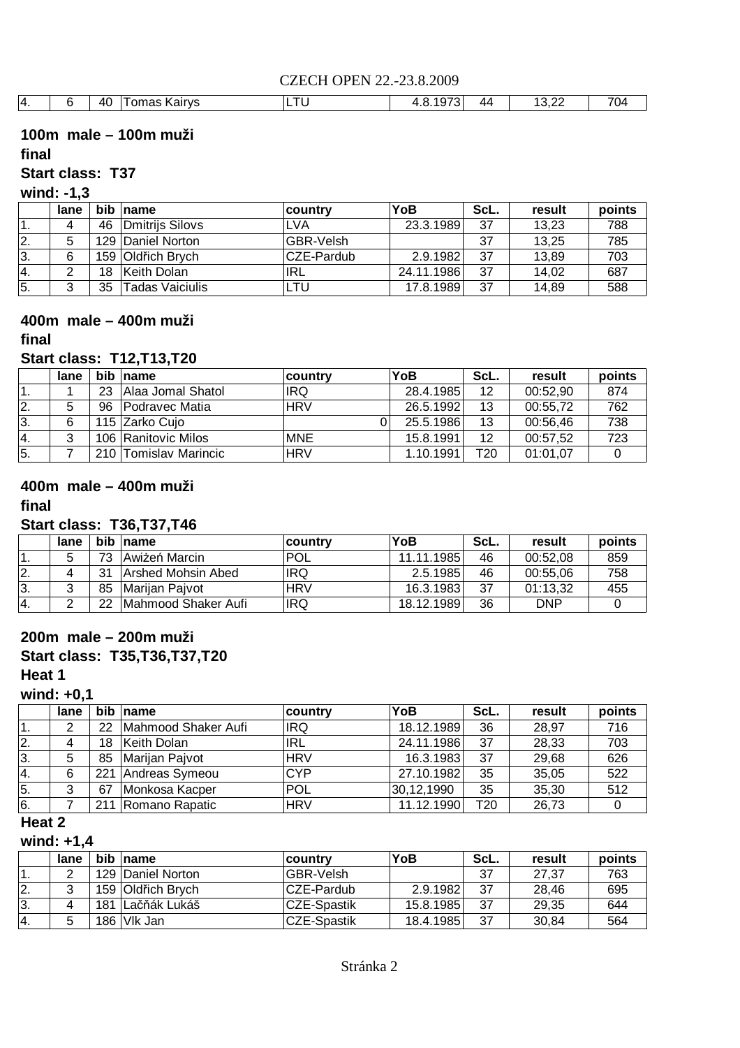|  | 40 | Kairvs<br>10 <sup>m</sup><br>$\sim$<br><b>\all</b><br>ים. | $\sim$ | $\sim$ $\sim$<br>,,<br>ີ | ΔД | $\sim$<br>$\overline{\phantom{a}}$<br>ے. ب | $\overline{\phantom{a}}$<br>$\mathbf{M}$ |
|--|----|-----------------------------------------------------------|--------|--------------------------|----|--------------------------------------------|------------------------------------------|

### **100m male – 100m muži**

#### **final**

## **Start class: T37**

**wind: -1,3**

|                  | lane |    | bib name          | ∣country         | YoB        | ScL. | result | points |
|------------------|------|----|-------------------|------------------|------------|------|--------|--------|
| 1.               |      | 46 | Dmitrijs Silovs   | <b>LVA</b>       | 23.3.1989  | 37   | 13.23  | 788    |
| 12.              |      |    | 129 Daniel Norton | <b>GBR-Velsh</b> |            | 37   | 13.25  | 785    |
| 13.              | 6    |    | 159 Oldřich Brych | ICZE-Pardub      | 2.9.1982   | 37   | 13.89  | 703    |
| 14.              |      | 18 | Keith Dolan       | IRL              | 24.11.1986 | 37   | 14,02  | 687    |
| $\overline{5}$ . |      | 35 | Tadas Vaiciulis   | LTU              | 17.8.1989  | 37   | 14,89  | 588    |

## **400m male – 400m muži**

#### **final**

#### **Start class: T12,T13,T20**

|                  | lane |    | bib name              | <b>country</b> | YoB       | ScL. | result   | points |
|------------------|------|----|-----------------------|----------------|-----------|------|----------|--------|
|                  |      | 23 | Alaa Jomal Shatol     | IRQ            | 28.4.1985 | 12   | 00:52.90 | 874    |
| $\overline{2}$ . |      | 96 | Podravec Matia        | <b>HRV</b>     | 26.5.1992 | 13   | 00:55,72 | 762    |
| 3.               | 6    |    | 115 Zarko Cujo        |                | 25.5.1986 | 13   | 00:56,46 | 738    |
| 14.              | っ    |    | 106 Ranitovic Milos   | <b>MNE</b>     | 15.8.1991 | 12   | 00:57,52 | 723    |
| 5.               |      |    | 210 Tomislav Marincic | <b>HRV</b>     | 1.10.1991 | T20  | 01:01.07 |        |

## **400m male – 400m muži**

#### **final**

#### **Start class: T36,T37,T46**

|     | lane |    | bib name            | country    | YoB        | ScL. | result     | points |
|-----|------|----|---------------------|------------|------------|------|------------|--------|
|     |      | 73 | Awiżeń Marcin       | <b>POL</b> | 11.11.1985 | 46   | 00:52.08   | 859    |
| I2. |      | 31 | Arshed Mohsin Abed  | <b>IRQ</b> | 2.5.1985   | 46   | 00:55.06   | 758    |
| Β.  |      | 85 | Mariian Paivot      | <b>HRV</b> | 16.3.1983  | 37   | 01:13.32   | 455    |
|     |      | 22 | Mahmood Shaker Aufi | <b>IRQ</b> | 18.12.1989 | 36   | <b>DNP</b> |        |

#### **200m male – 200m muži**

## **Start class: T35,T36,T37,T20**

**Heat 1**

### **wind: +0,1**

|            | lane | bib | name                | country    | YoB        | ScL. | result | points |
|------------|------|-----|---------------------|------------|------------|------|--------|--------|
| $\cdot$ 1. | っ    | 22  | Mahmood Shaker Aufi | <b>IRQ</b> | 18.12.1989 | 36   | 28,97  | 716    |
| 12.        | 4    | 18  | Keith Dolan         | <b>IRL</b> | 24.11.1986 | 37   | 28,33  | 703    |
| 13.        | 5    | 85  | Marijan Pajvot      | <b>HRV</b> | 16.3.1983  | 37   | 29,68  | 626    |
| 14.        | 6    | 221 | Andreas Symeou      | <b>CYP</b> | 27.10.1982 | 35   | 35,05  | 522    |
| 5.         | 3    | 67  | Monkosa Kacper      | <b>POL</b> | 30,12,1990 | 35   | 35,30  | 512    |
| 6.         |      | 211 | Romano Rapatic      | <b>HRV</b> | 11.12.1990 | T20  | 26,73  |        |

#### **Heat 2**

## **wind: +1,4**

|           | lane |     | bib name          | <b>country</b>     | YoB       | ScL. | result | points |
|-----------|------|-----|-------------------|--------------------|-----------|------|--------|--------|
|           |      |     | 129 Daniel Norton | <b>GBR-Velsh</b>   |           | 37   | 27.37  | 763    |
| I2.       | ົ    |     | 159 Oldřich Brych | ICZE-Pardub        | 2.9.1982  | 37   | 28.46  | 695    |
| 13.       | 4    | 181 | ∣Lačňák Lukáš     | <b>CZE-Spastik</b> | 15.8.1985 | 37   | 29.35  | 644    |
| $^{14}$ . |      |     | 186 Vlk Jan       | CZE-Spastik        | 18.4.1985 | 37   | 30.84  | 564    |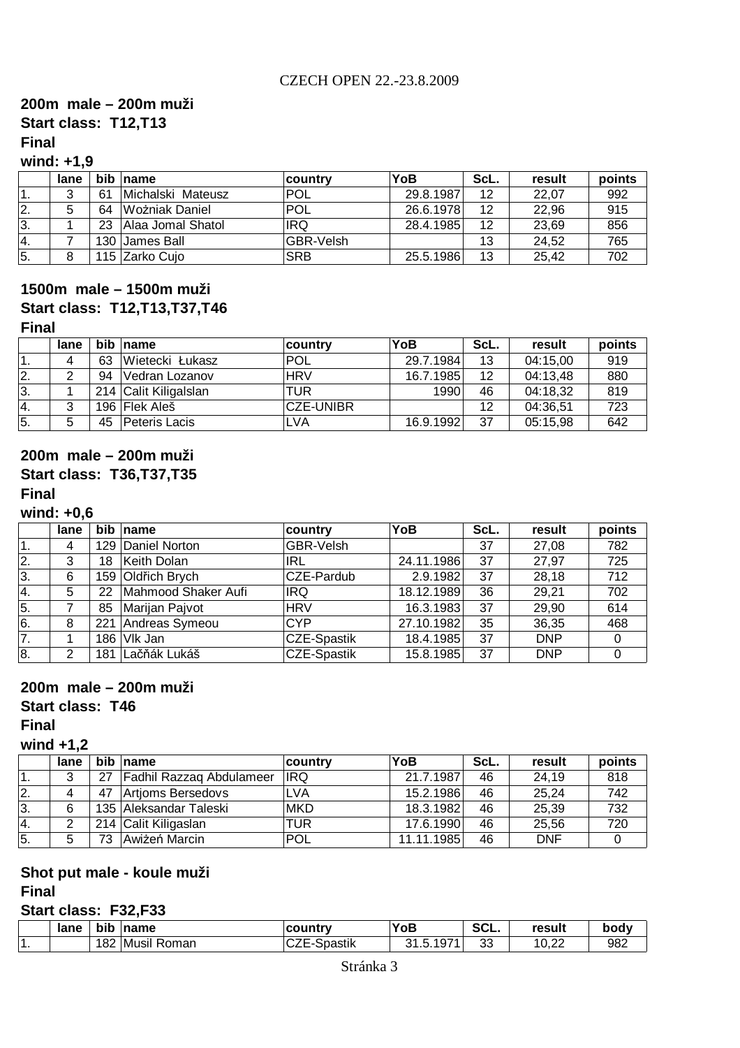## **Start class: T12,T13 200m male – 200m muži**

## **Final**

## **wind: +1,9**

|              | lane |    | bib name          | <b>country</b>   | YoB       | ScL. | result | points |
|--------------|------|----|-------------------|------------------|-----------|------|--------|--------|
| . .          | 2    | 61 | Michalski Mateusz | 'POL             | 29.8.1987 | 12   | 22.07  | 992    |
| 12.          | 5    | 64 | Wożniak Daniel    | 'POL             | 26.6.1978 | 12   | 22,96  | 915    |
| 3.           |      | 23 | Alaa Jomal Shatol | <b>IRQ</b>       | 28.4.1985 | 12   | 23,69  | 856    |
| <sup>4</sup> |      |    | 130 James Ball    | <b>GBR-Velsh</b> |           | 13   | 24.52  | 765    |
| 5.           |      |    | 115 Zarko Cujo    | <b>SRB</b>       | 25.5.1986 | 13   | 25.42  | 702    |

## **Start class: T12,T13,T37,T46 1500m male – 1500m muži**

#### **Final**

|     | lane |    | bib name              | country          | YoB       | ScL.              | result   | points |
|-----|------|----|-----------------------|------------------|-----------|-------------------|----------|--------|
|     |      | 63 | Wietecki Łukasz       | <b>POL</b>       | 29.7.1984 | 13                | 04:15,00 | 919    |
| 2.  | າ    | 94 | Vedran Lozanov        | <b>HRV</b>       | 16.7.1985 | $12 \overline{ }$ | 04:13,48 | 880    |
| ΙЗ. |      |    | 214 Calit Kiligalslan | TUR              | 1990      | 46                | 04:18,32 | 819    |
| Ι4. | ົ    |    | 196 Flek Aleš         | <b>CZE-UNIBR</b> |           | 12                | 04:36,51 | 723    |
| 5.  | 5    | 45 | Peteris Lacis         | <b>LVA</b>       | 16.9.1992 | 37                | 05:15,98 | 642    |

### **200m male – 200m muži Start class: T36,T37,T35**

#### **Final**

#### **wind: +0,6**

|                  | lane |     | bib name            | country            | YoB        | ScL. | result     | points |
|------------------|------|-----|---------------------|--------------------|------------|------|------------|--------|
| '1.              | 4    |     | 129 Daniel Norton   | GBR-Velsh          |            | 37   | 27,08      | 782    |
| 2.               | 3    | 18  | Keith Dolan         | <b>IRL</b>         | 24.11.1986 | 37   | 27,97      | 725    |
| 3.               | 6    |     | 159 Oldřich Brych   | CZE-Pardub         | 2.9.1982   | 37   | 28,18      | 712    |
| 4.               | 5    | 22  | Mahmood Shaker Aufi | <b>IRQ</b>         | 18.12.1989 | 36   | 29,21      | 702    |
| $\overline{5}$ . |      | 85  | Marijan Pajvot      | <b>HRV</b>         | 16.3.1983  | 37   | 29,90      | 614    |
| 6.               | 8    | 221 | Andreas Symeou      | <b>CYP</b>         | 27.10.1982 | 35   | 36,35      | 468    |
| $\overline{7}$ . |      |     | 186 Vlk Jan         | <b>CZE-Spastik</b> | 18.4.1985  | 37   | <b>DNP</b> |        |
| 8.               | 2    | 181 | Lačňák Lukáš        | <b>CZE-Spastik</b> | 15.8.1985  | 37   | <b>DNP</b> |        |

#### **200m male – 200m muži**

#### **Start class: T46**

#### **Final**

## **wind +1,2**

|     | lane |    | bib name                 | country    | YoB        | ScL. | result     | points |
|-----|------|----|--------------------------|------------|------------|------|------------|--------|
|     | 2    | 27 | Fadhil Razzaq Abdulameer | <b>IRQ</b> | 21.7.1987  | 46   | 24,19      | 818    |
| 2.  |      | 47 | Artioms Bersedovs        | <b>LVA</b> | 15.2.1986  | 46   | 25,24      | 742    |
| 13. |      |    | 135 Aleksandar Taleski   | <b>MKD</b> | 18.3.1982  | 46   | 25,39      | 732    |
| 14. |      |    | 214 Calit Kiligaslan     | TUR        | 17.6.1990  | 46   | 25,56      | 720    |
| 5.  |      | 73 | Awiżeń Marcin            | <b>POL</b> | 11.11.1985 | 46   | <b>DNF</b> |        |

## **Shot put male - koule muži**

## **Final**

## **Start class: F32,F33**

|     | lane | bib | $\blacksquare$ name | country               | YoB       | $\sim$<br>OUL. | result        | body |
|-----|------|-----|---------------------|-----------------------|-----------|----------------|---------------|------|
| . . |      |     | 182 Musil Roman     | <b>Spastik</b><br>◡▵∟ | 31.5.1971 | 33             | 1N 22<br>∪.∠∠ | 982  |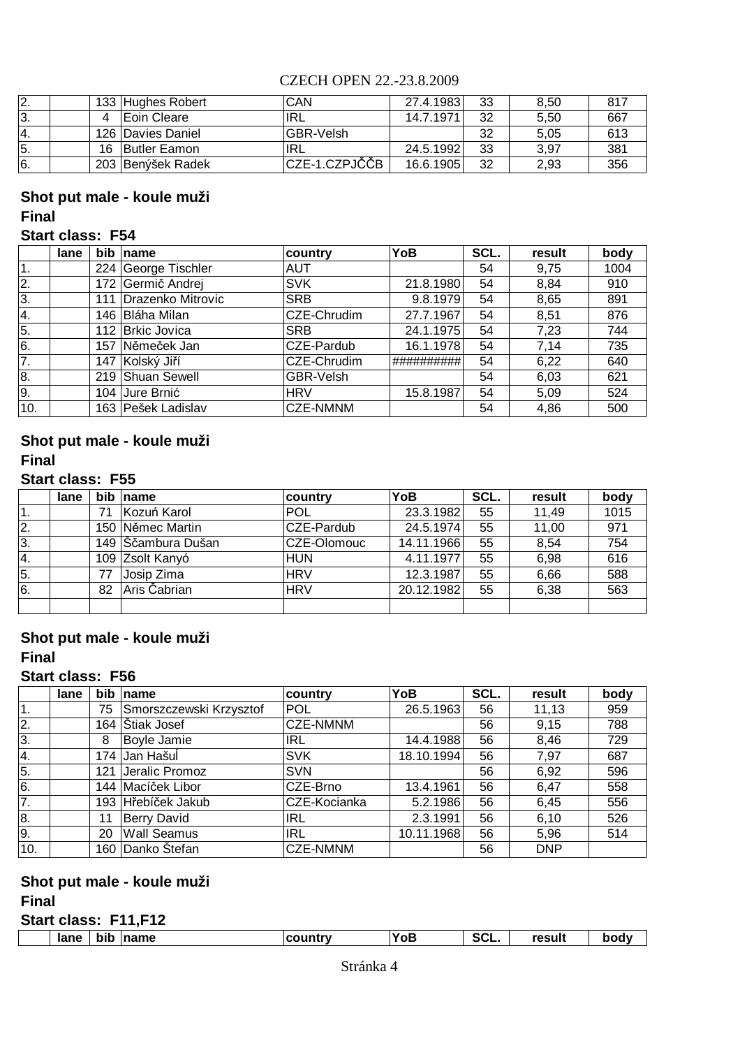| 12.              |    | 133 Hughes Robert   | CAN              | 27.4.1983 | 33 | 8,50 | 817 |
|------------------|----|---------------------|------------------|-----------|----|------|-----|
| 13.              |    | <b>Eoin Cleare</b>  | IRL              | 14.7.1971 | 32 | 5.50 | 667 |
| 14.              |    | 126 Davies Daniel   | <b>GBR-Velsh</b> |           | 32 | 5.05 | 613 |
| $\overline{5}$ . | 16 | <b>Butler Eamon</b> | IRL              | 24.5.1992 | 33 | 3.97 | 381 |
| 6.               |    | 203 Benýšek Radek   | ∣CZE-1.CZPJČČB   | 16.6.1905 | 32 | 2,93 | 356 |

## **Shot put male - koule muži Final**

## **Start class: F54**

|     | lane | <b>bib</b> | name                | country         | YoB        | SCL. | result | body |
|-----|------|------------|---------------------|-----------------|------------|------|--------|------|
| 1.  |      | 224        | George Tischler     | <b>AUT</b>      |            | 54   | 9,75   | 1004 |
| 2.  |      | 172        | Germič Andrej       | <b>SVK</b>      | 21.8.1980  | 54   | 8.84   | 910  |
| 3.  |      | 111        | Drazenko Mitrovic   | <b>SRB</b>      | 9.8.1979   | 54   | 8,65   | 891  |
| 4.  |      | 146        | <b>Bláha Milan</b>  | CZE-Chrudim     | 27.7.1967  | 54   | 8.51   | 876  |
| 5.  |      | 112        | <b>Brkic Jovica</b> | <b>SRB</b>      | 24.1.1975  | 54   | 7,23   | 744  |
| 6.  |      | 157        | Němeček Jan         | CZE-Pardub      | 16.1.1978  | 54   | 7.14   | 735  |
| 7.  |      | 147        | Kolský Jiří         | CZE-Chrudim     | ########## | 54   | 6,22   | 640  |
| 8.  |      |            | 219 Shuan Sewell    | GBR-Velsh       |            | 54   | 6.03   | 621  |
| 9.  |      | 104        | Jure Brnić          | <b>HRV</b>      | 15.8.1987  | 54   | 5.09   | 524  |
| 10. |      |            | 163 Pešek Ladislav  | <b>CZE-NMNM</b> |            | 54   | 4,86   | 500  |

#### **Shot put male - koule muži Final**

#### **Start class: F55**

|    | lane |    | bib name           | <b>country</b> | YoB        | SCL. | result | body |
|----|------|----|--------------------|----------------|------------|------|--------|------|
| 1. |      | 71 | Kozuń Karol        | <b>POL</b>     | 23.3.1982  | 55   | 11,49  | 1015 |
| 2. |      |    | 150 Němec Martin   | CZE-Pardub     | 24.5.1974  | 55   | 11,00  | 971  |
| 3. |      |    | 149 Sčambura Dušan | CZE-Olomouc    | 14.11.1966 | 55   | 8,54   | 754  |
| 4. |      |    | 109 Zsolt Kanyó    | <b>HUN</b>     | 4.11.1977  | 55   | 6,98   | 616  |
| 5. |      | 77 | Josip Zima         | <b>HRV</b>     | 12.3.1987  | 55   | 6.66   | 588  |
| 6. |      | 82 | Aris Čabrian       | <b>HRV</b>     | 20.12.1982 | 55   | 6,38   | 563  |
|    |      |    |                    |                |            |      |        |      |

#### **Final Shot put male - koule muži**

## **Start class: F56**

|     | lane | bib | name                    | country         | YoB        | SCL. | result     | body |
|-----|------|-----|-------------------------|-----------------|------------|------|------------|------|
| 1.  |      | 75  | Smorszczewski Krzysztof | <b>POL</b>      | 26.5.1963  | 56   | 11,13      | 959  |
| 2.  |      | 164 | Štiak Josef             | <b>CZE-NMNM</b> |            | 56   | 9,15       | 788  |
| 3.  |      | 8   | Boyle Jamie             | <b>IRL</b>      | 14.4.1988  | 56   | 8,46       | 729  |
| 4.  |      |     | 174 Jan HašuÍ           | <b>SVK</b>      | 18.10.1994 | 56   | 7,97       | 687  |
| 5.  |      | 121 | Jeralic Promoz          | <b>SVN</b>      |            | 56   | 6,92       | 596  |
| 6.  |      | 144 | Macíček Libor           | CZE-Brno        | 13.4.1961  | 56   | 6.47       | 558  |
| 7.  |      |     | 193 Hřebíček Jakub      | CZE-Kocianka    | 5.2.1986   | 56   | 6,45       | 556  |
| 8.  |      | 11  | <b>Berry David</b>      | IRL             | 2.3.1991   | 56   | 6, 10      | 526  |
| 9.  |      | 20  | <b>Wall Seamus</b>      | <b>IRL</b>      | 10.11.1968 | 56   | 5,96       | 514  |
| 10. |      | 160 | Danko Štefan            | <b>CZE-NMNM</b> |            | 56   | <b>DNP</b> |      |

# **Shot put male - koule muži**

# **Final**

|  | Start class: F11,F12 |
|--|----------------------|
|  |                      |

|  |  | lane | bıt | name | <b>COUNTY</b> | $\mathbf{v}$<br>′oB | $\sim$<br>SCL | result |  |
|--|--|------|-----|------|---------------|---------------------|---------------|--------|--|
|--|--|------|-----|------|---------------|---------------------|---------------|--------|--|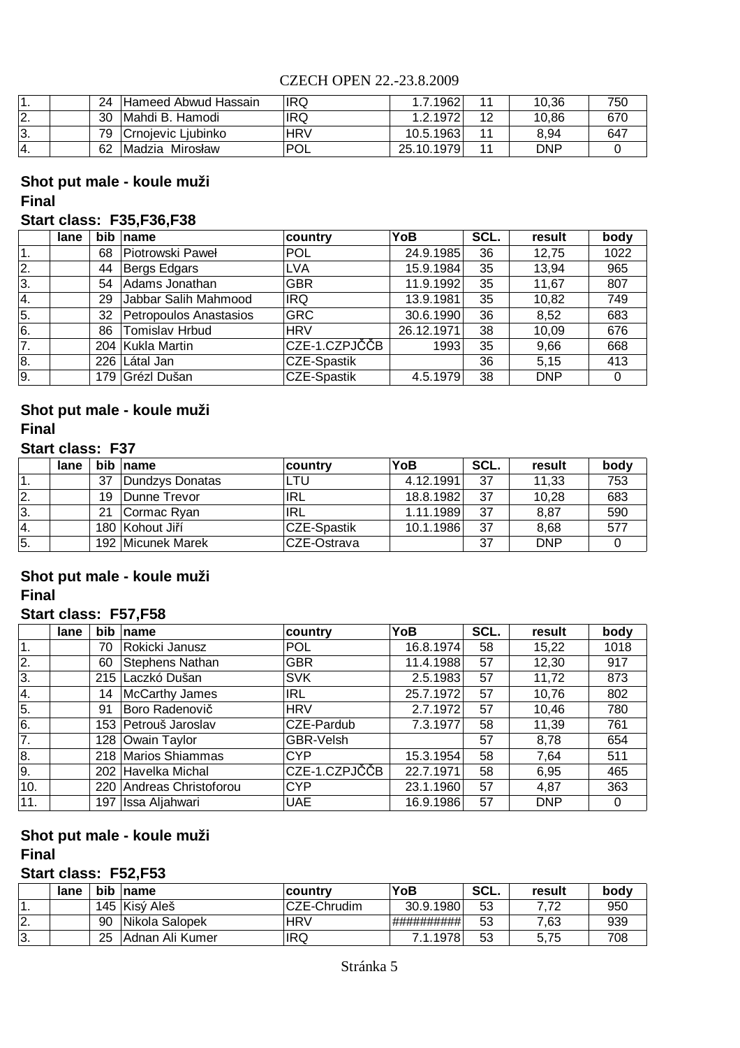|     | 24 | Hameed Abwud Hassain | <b>IRQ</b> | 1.7.1962   |    | 10.36      | 750 |
|-----|----|----------------------|------------|------------|----|------------|-----|
| 12. | 30 | Mahdi B. Hamodi      | <b>IRQ</b> | 1.2.1972   | 12 | 10.86      | 670 |
| 3.  | 79 | Crnojevic Ljubinko   | <b>HRV</b> | 10.5.1963  |    | 8.94       | 647 |
|     | 62 | Madzia Mirosław      | <b>POL</b> | 25.10.1979 |    | <b>DNP</b> |     |

#### **Shot put male - koule muži Final**

#### **Start class: F35,F36,F38**

|    | lane | <b>bib</b> | name                   | country            | YoB        | SCL. | result     | body |
|----|------|------------|------------------------|--------------------|------------|------|------------|------|
|    |      | 68         | Piotrowski Paweł       | <b>POL</b>         | 24.9.1985  | 36   | 12,75      | 1022 |
| 2. |      | 44         | Bergs Edgars           | <b>LVA</b>         | 15.9.1984  | 35   | 13,94      | 965  |
| 3. |      | 54         | Adams Jonathan         | <b>GBR</b>         | 11.9.1992  | 35   | 11,67      | 807  |
| 4. |      | 29         | Jabbar Salih Mahmood   | <b>IRQ</b>         | 13.9.1981  | 35   | 10,82      | 749  |
| 5. |      | 32         | Petropoulos Anastasios | <b>GRC</b>         | 30.6.1990  | 36   | 8,52       | 683  |
| 6. |      | 86         | <b>Tomislav Hrbud</b>  | <b>HRV</b>         | 26.12.1971 | 38   | 10,09      | 676  |
| 7. |      |            | 204 Kukla Martin       | CZE-1.CZPJČČB      | 1993       | 35   | 9,66       | 668  |
| 8. |      |            | 226 Látal Jan          | <b>CZE-Spastik</b> |            | 36   | 5.15       | 413  |
| 9. |      |            | 179 Grézl Dušan        | <b>CZE-Spastik</b> | 4.5.1979   | 38   | <b>DNP</b> | 0    |

## **Shot put male - koule muži Final**

### **Start class: F37**

|     | lane |    | bib name          | ∣country     | YoB       | SCL. | result     | body |
|-----|------|----|-------------------|--------------|-----------|------|------------|------|
|     |      | 37 | Dundzys Donatas   | LTU          | 4.12.1991 | 37   | 11,33      | 753  |
| 2.  |      | 19 | Dunne Trevor      | IRL          | 18.8.1982 | 37   | 10.28      | 683  |
| 3.  |      | 21 | Cormac Ryan       | IRL          | 1.11.1989 | 37   | 8,87       | 590  |
| '4. |      |    | 180 Kohout Jiří   | ∣CZE-Spastik | 10.1.1986 | 37   | 8,68       | 577  |
| 5.  |      |    | 192 Micunek Marek | CZE-Ostrava  |           | 37   | <b>DNP</b> |      |

## **Final Shot put male - koule muži**

### **Start class: F57,F58**

|     | lane | <b>bib</b> | name                     | country       | YoB       | SCL. | result     | body |
|-----|------|------------|--------------------------|---------------|-----------|------|------------|------|
| 1.  |      | 70         | Rokicki Janusz           | <b>POL</b>    | 16.8.1974 | 58   | 15,22      | 1018 |
| 2.  |      | 60         | <b>Stephens Nathan</b>   | <b>GBR</b>    | 11.4.1988 | 57   | 12,30      | 917  |
| 3.  |      |            | 215 Laczkó Dušan         | <b>SVK</b>    | 2.5.1983  | 57   | 11,72      | 873  |
| 4.  |      | 14         | <b>McCarthy James</b>    | <b>IRL</b>    | 25.7.1972 | 57   | 10,76      | 802  |
| 5.  |      | 91         | Boro Radenovič           | <b>HRV</b>    | 2.7.1972  | 57   | 10,46      | 780  |
| 6.  |      |            | 153 Petrouš Jaroslav     | CZE-Pardub    | 7.3.1977  | 58   | 11,39      | 761  |
| 7.  |      |            | 128 Owain Taylor         | GBR-Velsh     |           | 57   | 8,78       | 654  |
| 8.  |      |            | 218 Marios Shiammas      | <b>CYP</b>    | 15.3.1954 | 58   | 7,64       | 511  |
| 9.  |      |            | 202 Havelka Michal       | CZE-1.CZPJČČB | 22.7.1971 | 58   | 6,95       | 465  |
| 10. |      |            | 220 Andreas Christoforou | <b>CYP</b>    | 23.1.1960 | 57   | 4,87       | 363  |
| 11. |      | 197        | Issa Aljahwari           | <b>UAE</b>    | 16.9.1986 | 57   | <b>DNP</b> | 0    |

#### **Shot put male - koule muži Final**

#### **Start class: F52,F53**

|     | lane | bib | <b>name</b>     | ∣countrv    | <b>YoB</b> | SCL. | result | bodv |
|-----|------|-----|-----------------|-------------|------------|------|--------|------|
|     |      |     | 145 Kisý Aleš   | CZE-Chrudim | 30.9.1980  | 53   | 70     | 950  |
| 12. |      | 90  | Nikola Salopek  | <b>HRV</b>  | ########## | 53   | 7.63   | 939  |
| 3.  |      | 25  | Adnan Ali Kumer | <b>IRQ</b>  | 7.1.1978   | 53   | 5.75   | 708  |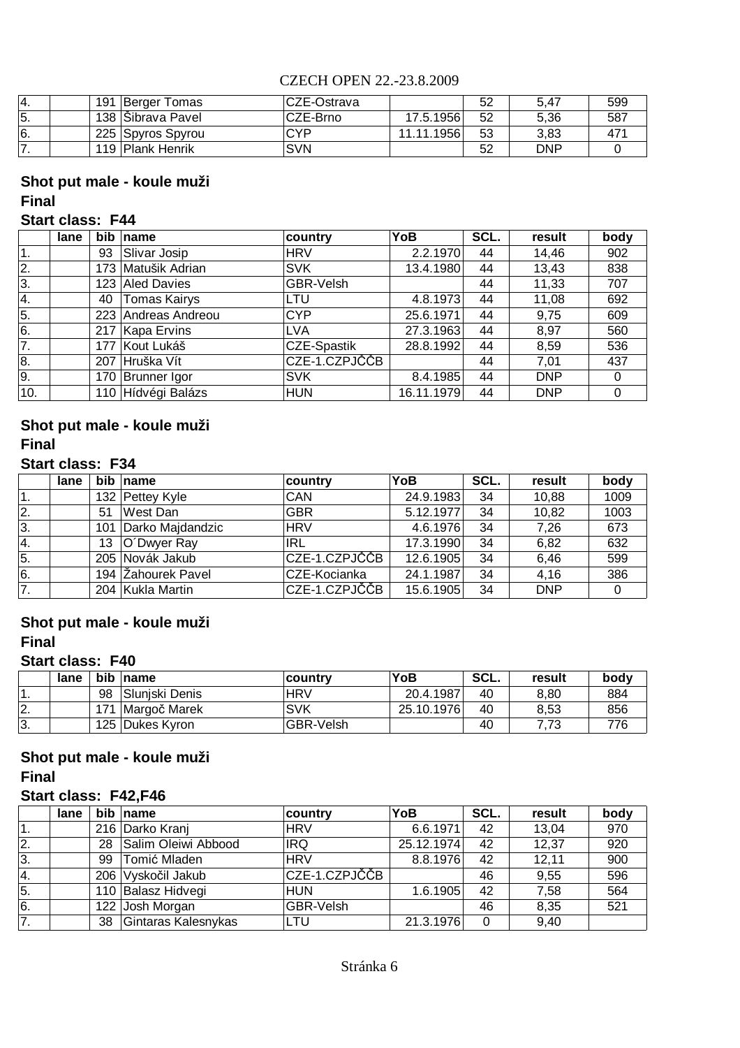| -4. | 191 | Berger Tomas      | lCZE-Ostrava |            | 52 | 5.47       | 599 |
|-----|-----|-------------------|--------------|------------|----|------------|-----|
| 5.  |     | 138 Sibrava Pavel | CZE-Brno     | 17.5.1956  | 52 | 5.36       | 587 |
| I6. |     | 225 Spyros Spyrou | <b>CYP</b>   | 11.11.1956 | 53 | 3.83       |     |
|     |     | 119 Plank Henrik  | <b>SVN</b>   |            | 52 | <b>DNP</b> |     |

## **Shot put male - koule muži Final**

### **Start class: F44**

|              | lane | bib | name                | country          | YoB        | SCL. | result     | body |
|--------------|------|-----|---------------------|------------------|------------|------|------------|------|
| $\mathbf{1}$ |      | 93  | Slivar Josip        | <b>HRV</b>       | 2.2.1970   | 44   | 14,46      | 902  |
| 2.           |      |     | 173 Matušik Adrian  | <b>SVK</b>       | 13.4.1980  | 44   | 13,43      | 838  |
| 3.           |      |     | 123 Aled Davies     | <b>GBR-Velsh</b> |            | 44   | 11,33      | 707  |
| 4.           |      | 40  | <b>Tomas Kairys</b> | LTU              | 4.8.1973   | 44   | 11,08      | 692  |
| 5.           |      |     | 223 Andreas Andreou | <b>CYP</b>       | 25.6.1971  | 44   | 9,75       | 609  |
| 6.           |      |     | 217 Kapa Ervins     | <b>LVA</b>       | 27.3.1963  | 44   | 8,97       | 560  |
| 7.           |      |     | 177 Kout Lukáš      | CZE-Spastik      | 28.8.1992  | 44   | 8,59       | 536  |
| 8.           |      |     | 207 Hruška Vít      | CZE-1.CZPJČČB    |            | 44   | 7,01       | 437  |
| 9.           |      |     | 170 Brunner Igor    | <b>SVK</b>       | 8.4.1985   | 44   | <b>DNP</b> | 0    |
| 10.          |      |     | 110 Hídvégi Balázs  | <b>HUN</b>       | 16.11.1979 | 44   | <b>DNP</b> | 0    |

## **Shot put male - koule muži Final**

## **Start class: F34**

|    | lane |    | bib name             | <b>country</b> | YoB       | SCL. | result     | body |
|----|------|----|----------------------|----------------|-----------|------|------------|------|
| 1. |      |    | 132 Pettey Kyle      | CAN            | 24.9.1983 | 34   | 10,88      | 1009 |
| 2. |      | 51 | West Dan             | <b>GBR</b>     | 5.12.1977 | 34   | 10,82      | 1003 |
| 3. |      |    | 101 Darko Majdandzic | <b>HRV</b>     | 4.6.1976  | 34   | 7,26       | 673  |
| 4. |      | 13 | O'Dwyer Ray          | 'IRL           | 17.3.1990 | 34   | 6,82       | 632  |
| 5. |      |    | 205 Novák Jakub      | CZE-1.CZPJČČB  | 12.6.1905 | 34   | 6,46       | 599  |
| 6. |      |    | 194 Zahourek Pavel   | CZE-Kocianka   | 24.1.1987 | 34   | 4,16       | 386  |
| 7. |      |    | 204 Kukla Martin     | CZE-1.CZPJČČB  | 15.6.1905 | 34   | <b>DNP</b> |      |

# **Shot put male - koule muži**

## **Final**

#### **Start class: F40**

|          | lane |     | bib name        | <b>country</b>   | YoB        | SCL. | result | body |
|----------|------|-----|-----------------|------------------|------------|------|--------|------|
|          |      | 98  | Sluniski Denis  | <b>HRV</b>       | 20.4.1987  | 40   | 8,80   | 884  |
| <u>.</u> |      | 171 | Margoč Marek    | <b>SVK</b>       | 25.10.1976 | 40   | 8,53   | 856  |
| 3.       |      |     | 125 Dukes Kyron | <b>GBR-Velsh</b> |            | 40   |        | 776  |

# **Shot put male - koule muži**

**Final**

## **Start class: F42,F46**

|    | lane |    | bib name            | country       | YoB        | SCL. | result | body |
|----|------|----|---------------------|---------------|------------|------|--------|------|
|    |      |    | 216 Darko Kranj     | <b>HRV</b>    | 6.6.1971   | 42   | 13,04  | 970  |
| 2. |      | 28 | Salim Oleiwi Abbood | <b>IRQ</b>    | 25.12.1974 | 42   | 12,37  | 920  |
| 3. |      | 99 | Tomić Mladen        | <b>HRV</b>    | 8.8.1976   | 42   | 12,11  | 900  |
| 4. |      |    | 206 Vyskočil Jakub  | CZE-1.CZPJČČB |            | 46   | 9,55   | 596  |
| 5. |      |    | 110 Balasz Hidvegi  | <b>HUN</b>    | 1.6.1905   | 42   | 7,58   | 564  |
| 6. |      |    | 122 Josh Morgan     | GBR-Velsh     |            | 46   | 8,35   | 521  |
| 7. |      | 38 | Gintaras Kalesnykas | LTU           | 21.3.1976  | 0    | 9,40   |      |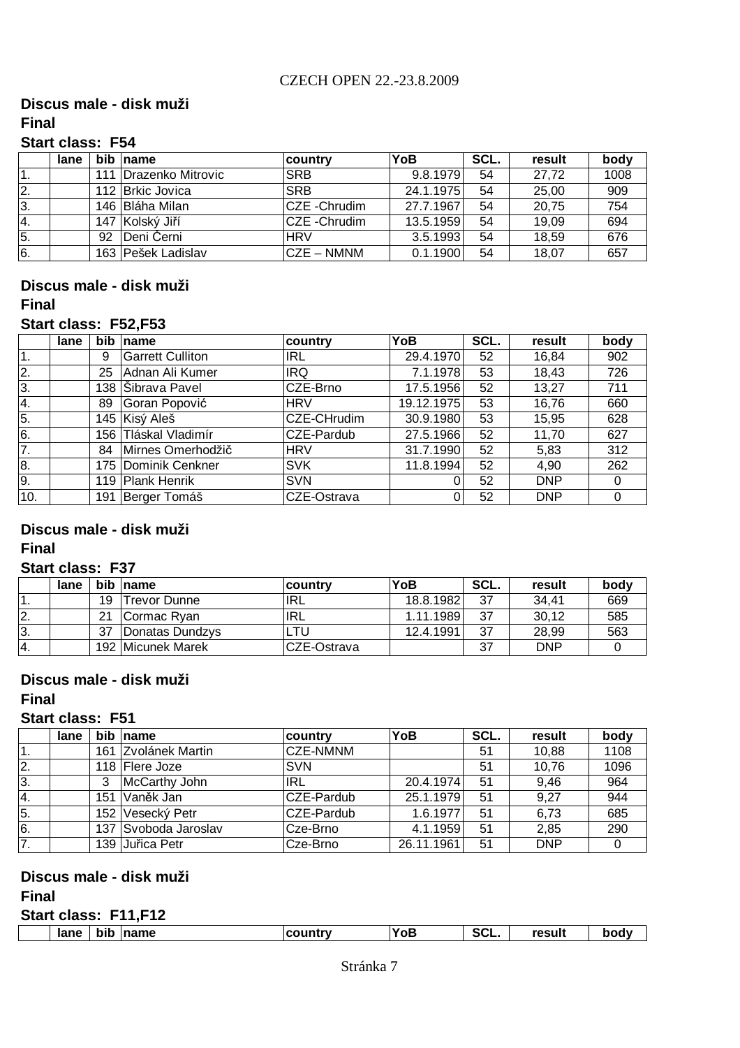# **Discus male - disk muži**

## **Final**

## **Start class: F54**

|                | lane |    | bib name                | country              | YoB       | SCL. | result | body |
|----------------|------|----|-------------------------|----------------------|-----------|------|--------|------|
| $\mathbf{1}$ . |      |    | 111   Drazenko Mitrovic | <b>SRB</b>           | 9.8.1979  | 54   | 27.72  | 1008 |
| 12.            |      |    | 112 Brkic Jovica        | <b>SRB</b>           | 24.1.1975 | 54   | 25,00  | 909  |
| 3.             |      |    | 146 Bláha Milan         | <b>CZE</b> - Chrudim | 27.7.1967 | 54   | 20,75  | 754  |
| <sup>4.</sup>  |      |    | 147 Kolský Jiří         | <b>CZE</b> - Chrudim | 13.5.1959 | 54   | 19,09  | 694  |
| 5.             |      | 92 | Deni Černi              | <b>HRV</b>           | 3.5.1993  | 54   | 18,59  | 676  |
| 6.             |      |    | 163   Pešek Ladislav    | ICZE – NMNM          | 0.1.1900  | 54   | 18,07  | 657  |

#### **Discus male - disk muži Final**

#### **Start class: F52,F53**

|                  | lane | bib | name                    | country     | YoB        | SCL. | result     | body |
|------------------|------|-----|-------------------------|-------------|------------|------|------------|------|
| 1.               |      | 9   | <b>Garrett Culliton</b> | IRL         | 29.4.1970  | 52   | 16,84      | 902  |
| 2.               |      | 25  | Adnan Ali Kumer         | <b>IRQ</b>  | 7.1.1978   | 53   | 18,43      | 726  |
| 3.               |      |     | 138 Sibrava Pavel       | CZE-Brno    | 17.5.1956  | 52   | 13,27      | 711  |
| $\overline{4}$ . |      | 89  | Goran Popović           | <b>HRV</b>  | 19.12.1975 | 53   | 16,76      | 660  |
| 5.               |      |     | 145 Kisý Aleš           | CZE-CHrudim | 30.9.1980  | 53   | 15,95      | 628  |
| 6.               |      |     | 156 Tláskal Vladimír    | CZE-Pardub  | 27.5.1966  | 52   | 11,70      | 627  |
| 7.               |      | 84  | Mirnes Omerhodžič       | <b>HRV</b>  | 31.7.1990  | 52   | 5,83       | 312  |
| 8.               |      |     | 175 Dominik Cenkner     | <b>SVK</b>  | 11.8.1994  | 52   | 4,90       | 262  |
| 9.               |      |     | 119 Plank Henrik        | <b>SVN</b>  |            | 52   | <b>DNP</b> | Ω    |
| 10.              |      |     | 191 Berger Tomáš        | CZE-Ostrava |            | 52   | <b>DNP</b> | 0    |

#### **Final Discus male - disk muži**

#### **Start class: F37**

|     | lane | <b>bib</b> | <b>name</b>       | ∣countrv    | YoB       | SCL. | result     | body |
|-----|------|------------|-------------------|-------------|-----------|------|------------|------|
|     |      | 19         | Trevor Dunne      | IRL         | 18.8.1982 | 37   | 34.41      | 669  |
| 2.  |      | 21         | Cormac Ryan       | IRL         | 1.11.1989 | 37   | 30.12      | 585  |
| ΙЗ. |      | 37         | Donatas Dundzys   | LTU         | 12.4.1991 | 37   | 28.99      | 563  |
| 14. |      |            | 192 Micunek Marek | CZE-Ostrava |           | 37   | <b>DNP</b> |      |

# **Discus male - disk muži**

## **Final**

## **Start class: F51**

|     | lane |     | bib name             | country         | YoB        | SCL. | result     | body |
|-----|------|-----|----------------------|-----------------|------------|------|------------|------|
| 1.  |      |     | 161 Zvolánek Martin  | <b>CZE-NMNM</b> |            | 51   | 10,88      | 1108 |
| 2.  |      |     | 118 Flere Joze       | <b>SVN</b>      |            | 51   | 10,76      | 1096 |
| 3.  |      | 3   | McCarthy John        | <b>IRL</b>      | 20.4.1974  | 51   | 9,46       | 964  |
| 4.  |      | 151 | Vaněk Jan            | CZE-Pardub      | 25.1.1979  | 51   | 9,27       | 944  |
| 5.  |      | 152 | Vesecký Petr         | CZE-Pardub      | 1.6.1977   | 51   | 6.73       | 685  |
| l6. |      |     | 137 Svoboda Jaroslav | Cze-Brno        | 4.1.1959   | 51   | 2,85       | 290  |
| 7.  |      |     | 139 Juřica Petr      | Cze-Brno        | 26.11.1961 | 51   | <b>DNP</b> |      |

## **Discus male - disk muži**

## **Final**

**Start class: F11,F12**

| ________<br>lane | bib | <b>name</b> | <b>country</b> | YoB | SCL. | result |  |
|------------------|-----|-------------|----------------|-----|------|--------|--|
|                  |     |             |                |     |      |        |  |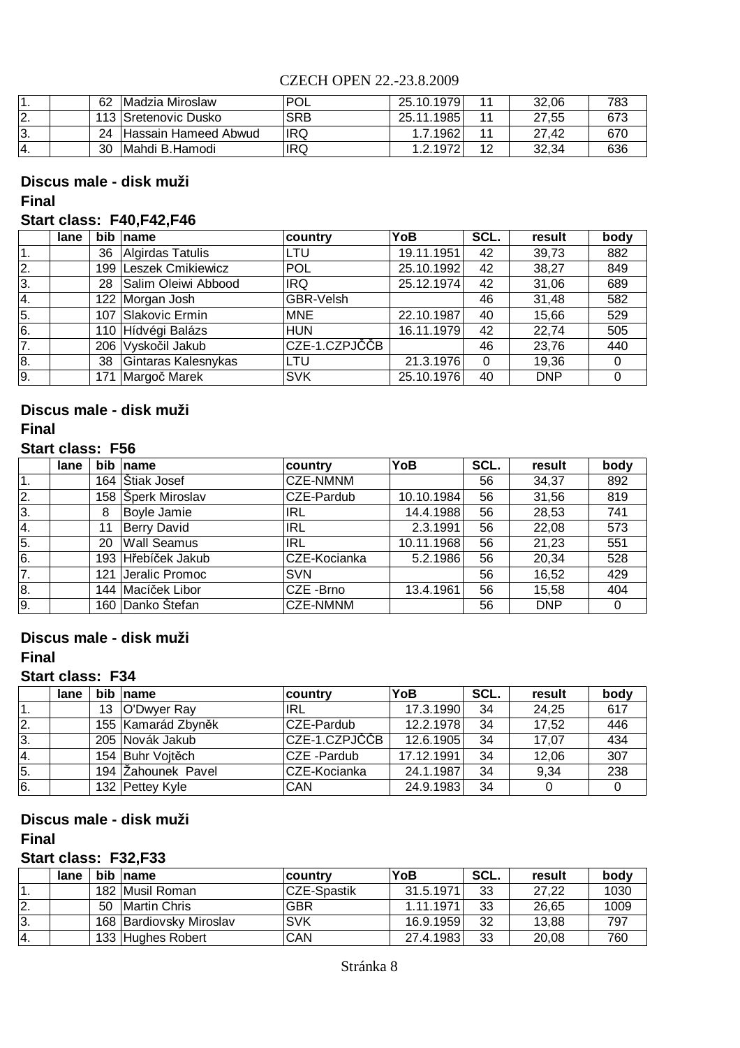|     | 62 | IMadzia Miroslaw            | POL        | 25.10.1979 | 32.06 |     |
|-----|----|-----------------------------|------------|------------|-------|-----|
| ı.  |    | . 113   Sretenovic Dusko    | <b>SRB</b> | 25.11.1985 | 27,55 |     |
| ΙЗ. | 24 | <b>Hassain Hameed Abwud</b> | <b>IRQ</b> | 1.7.1962   | 27.42 | 670 |
|     | 30 | IMahdi B.Hamodi             | <b>IRQ</b> | 1.2.1972   | 32,34 | 636 |

## **Discus male - disk muži**

#### **Final**

## **Start class: F40,F42,F46**

|    | lane | bib | name                  | country       | YoB        | SCL.     | result     | body |
|----|------|-----|-----------------------|---------------|------------|----------|------------|------|
| 1. |      | 36  | Algirdas Tatulis      | LTU           | 19.11.1951 | 42       | 39,73      | 882  |
| 2. |      |     | 199 Leszek Cmikiewicz | <b>POL</b>    | 25.10.1992 | 42       | 38,27      | 849  |
| 3. |      | 28  | Salim Oleiwi Abbood   | <b>IRQ</b>    | 25.12.1974 | 42       | 31,06      | 689  |
| 4. |      |     | 122 Morgan Josh       | GBR-Velsh     |            | 46       | 31,48      | 582  |
| 5. |      | 107 | Slakovic Ermin        | <b>MNE</b>    | 22.10.1987 | 40       | 15,66      | 529  |
| 6. |      |     | 110 Hídvégi Balázs    | <b>HUN</b>    | 16.11.1979 | 42       | 22,74      | 505  |
| 7. |      |     | 206 Vyskočil Jakub    | CZE-1.CZPJČČB |            | 46       | 23,76      | 440  |
| 8. |      | 38  | Gintaras Kalesnykas   | LTU           | 21.3.1976  | $\Omega$ | 19,36      |      |
| 9. |      | 171 | Margoč Marek          | <b>SVK</b>    | 25.10.1976 | 40       | <b>DNP</b> |      |

### **Final Discus male - disk muži**

### **Start class: F56**

|                  | lane | bib | name               | country           | YoB        | SCL. | result     | body |
|------------------|------|-----|--------------------|-------------------|------------|------|------------|------|
| $\mathbf 1$ .    |      | 164 | Stiak Josef        | <b>CZE-NMNM</b>   |            | 56   | 34,37      | 892  |
| 2.               |      | 158 | Šperk Miroslav     | CZE-Pardub        | 10.10.1984 | 56   | 31,56      | 819  |
| 3.               |      | 8   | Boyle Jamie        | <b>IRL</b>        | 14.4.1988  | 56   | 28,53      | 741  |
| <sup>4.</sup>    |      | 11  | <b>Berry David</b> | <b>IRL</b>        | 2.3.1991   | 56   | 22,08      | 573  |
| $\overline{5}$ . |      | 20  | <b>Wall Seamus</b> | <b>IRL</b>        | 10.11.1968 | 56   | 21,23      | 551  |
| 6.               |      | 193 | Hřebíček Jakub     | CZE-Kocianka      | 5.2.1986   | 56   | 20,34      | 528  |
| 7.               |      | 121 | Jeralic Promoc     | <b>SVN</b>        |            | 56   | 16,52      | 429  |
| 8.               |      | 144 | Macíček Libor      | <b>ICZE -Brno</b> | 13.4.1961  | 56   | 15,58      | 404  |
| 9.               |      | 160 | Danko Štefan       | <b>CZE-NMNM</b>   |            | 56   | <b>DNP</b> | 0    |

## **Discus male - disk muži**

## **Final**

#### **Start class: F34**

|     | lane | bib name           | country       | YoB        | SCL. | result | body |
|-----|------|--------------------|---------------|------------|------|--------|------|
|     |      | 13 O'Dwyer Ray     | <b>IRL</b>    | 17.3.1990  | 34   | 24,25  | 617  |
| 12. |      | 155 Kamarád Zbyněk | CZE-Pardub    | 12.2.1978  | 34   | 17,52  | 446  |
| 3.  |      | 205 Novák Jakub    | CZE-1.CZPJČČB | 12.6.1905  | 34   | 17,07  | 434  |
| 4.  |      | 154 Buhr Vojtěch   | CZE -Pardub   | 17.12.1991 | 34   | 12,06  | 307  |
| 5.  |      | 194 Zahounek Pavel | CZE-Kocianka  | 24.1.1987  | 34   | 9,34   | 238  |
| 6.  |      | 132 Pettey Kyle    | <b>CAN</b>    | 24.9.1983  | 34   |        |      |

## **Discus male - disk muži**

**Final**

## **Start class: F32,F33**

|                  | lane |    | bib name                | country     | YoB       | SCL. | result | body |
|------------------|------|----|-------------------------|-------------|-----------|------|--------|------|
|                  |      |    | 182 Musil Roman         | CZE-Spastik | 31.5.1971 | 33   | 27.22  | 1030 |
| 12.              |      | 50 | Martin Chris            | <b>GBR</b>  | 1.11.1971 | 33   | 26.65  | 1009 |
| 3.               |      |    | 168 Bardiovsky Miroslav | <b>SVK</b>  | 16.9.1959 | 32   | 13.88  | 797  |
| $\overline{A}$ . |      |    | 133 Hughes Robert       | CAN         | 27.4.1983 | 33   | 20,08  | 760  |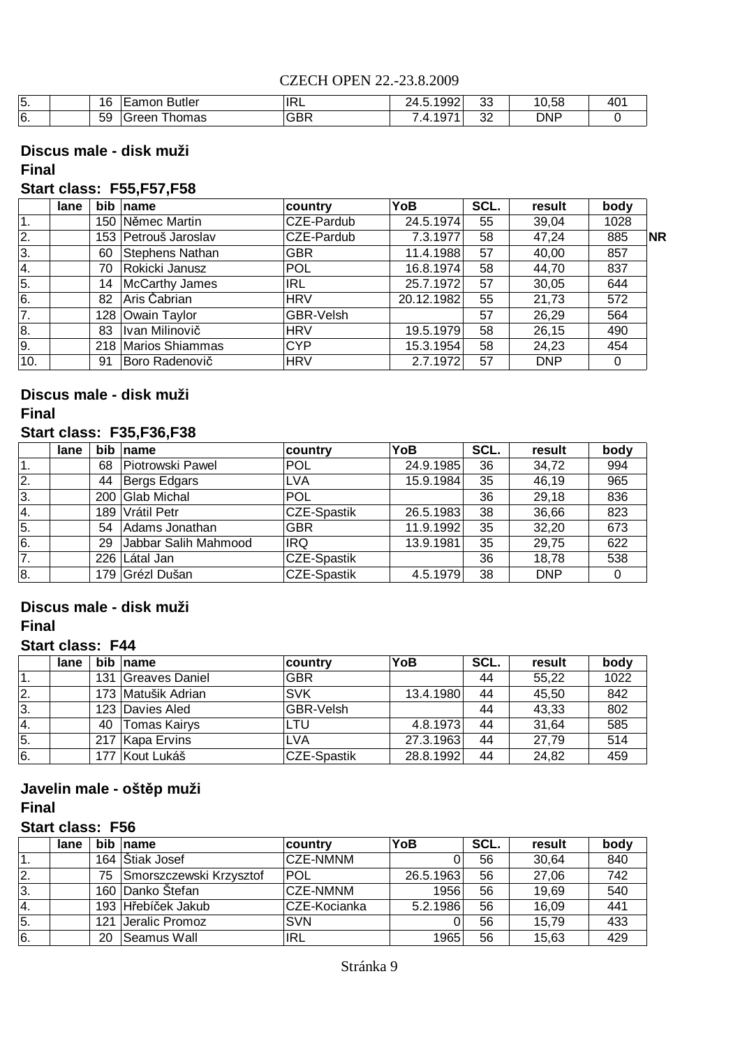| . J . | 16 | <b>Butler</b><br>-Lamor | <b>IRL</b> | 1992<br>, ,<br>∠⊤.∪. | ົດຕ<br>ັບ | 10,56      | ، م<br>TV. |
|-------|----|-------------------------|------------|----------------------|-----------|------------|------------|
| ٠υ.   | 59 | homas<br>areen<br>. .   | <b>GBR</b> | 074<br>. .           | nn<br>ັ   | <b>DNP</b> |            |

#### **Discus male - disk muži Final**

## **Start class: F55,F57,F58**

|                  | lane | bib | name                  | country    | YoB        | SCL. | result     | body |           |
|------------------|------|-----|-----------------------|------------|------------|------|------------|------|-----------|
| 1.               |      | 150 | Němec Martin          | CZE-Pardub | 24.5.1974  | 55   | 39,04      | 1028 |           |
| $\overline{2}$ . |      |     | 153 Petrouš Jaroslav  | CZE-Pardub | 7.3.1977   | 58   | 47,24      | 885  | <b>NR</b> |
| 3.               |      | 60  | Stephens Nathan       | <b>GBR</b> | 11.4.1988  | 57   | 40,00      | 857  |           |
| 4.               |      | 70  | Rokicki Janusz        | <b>POL</b> | 16.8.1974  | 58   | 44,70      | 837  |           |
| 5.               |      | 14  | <b>McCarthy James</b> | <b>IRL</b> | 25.7.1972  | 57   | 30,05      | 644  |           |
| 6.               |      | 82  | Aris Čabrian          | <b>HRV</b> | 20.12.1982 | 55   | 21,73      | 572  |           |
| $\overline{7}$ . |      |     | 128 Owain Taylor      | GBR-Velsh  |            | 57   | 26,29      | 564  |           |
| 8.               |      | 83  | Ivan Milinovič        | <b>HRV</b> | 19.5.1979  | 58   | 26,15      | 490  |           |
| 9.               |      |     | 218 Marios Shiammas   | <b>CYP</b> | 15.3.1954  | 58   | 24,23      | 454  |           |
| 10.              |      | 91  | Boro Radenovič        | <b>HRV</b> | 2.7.1972   | 57   | <b>DNP</b> |      |           |

## **Discus male - disk muži**

#### **Final**

#### **Start class: F35,F36,F38**

|    | lane |     | bib name             | country     | YoB       | SCL. | result     | body |
|----|------|-----|----------------------|-------------|-----------|------|------------|------|
| 1. |      | 68  | Piotrowski Pawel     | <b>POL</b>  | 24.9.1985 | 36   | 34,72      | 994  |
| 2. |      | 44  | Bergs Edgars         | ∣LVA        | 15.9.1984 | 35   | 46,19      | 965  |
| 3. |      |     | 200 Glab Michal      | POL         |           | 36   | 29,18      | 836  |
| 4. |      | 189 | Vrátil Petr          | CZE-Spastik | 26.5.1983 | 38   | 36,66      | 823  |
| 5. |      | 54  | Adams Jonathan       | <b>GBR</b>  | 11.9.1992 | 35   | 32,20      | 673  |
| 6. |      | 29  | Jabbar Salih Mahmood | <b>IRQ</b>  | 13.9.1981 | 35   | 29,75      | 622  |
| 7. |      |     | 226 Látal Jan        | CZE-Spastik |           | 36   | 18,78      | 538  |
| 8. |      |     | 179 Grézl Dušan      | CZE-Spastik | 4.5.1979  | 38   | <b>DNP</b> |      |

## **Discus male - disk muži**

#### **Final**

#### **Start class: F44**

|     | lane | <b>bib</b> | name                | country          | YoB       | SCL. | result | body |
|-----|------|------------|---------------------|------------------|-----------|------|--------|------|
|     |      | 131        | Greaves Daniel      | <b>GBR</b>       |           | 44   | 55.22  | 1022 |
| 12. |      |            | 173 Matušik Adrian  | <b>SVK</b>       | 13.4.1980 | 44   | 45,50  | 842  |
| 3.  |      |            | 123 Davies Aled     | <b>GBR-Velsh</b> |           | 44   | 43,33  | 802  |
| 14. |      | 40         | <b>Tomas Kairys</b> | LTU.             | 4.8.1973  | 44   | 31.64  | 585  |
| 5.  |      |            | 217 Kapa Ervins     | <b>LVA</b>       | 27.3.1963 | 44   | 27.79  | 514  |
| 6.  |      |            | 177 Kout Lukáš      | CZE-Spastik      | 28.8.1992 | 44   | 24,82  | 459  |

#### **Javelin male - oštěp muži Final**

## **Start class: F56**

|     | lane | <b>bib</b> | <b>Iname</b>            | country         | YoB       | SCL. | result | body |
|-----|------|------------|-------------------------|-----------------|-----------|------|--------|------|
|     |      |            | 164 Štiak Josef         | <b>CZE-NMNM</b> |           | 56   | 30,64  | 840  |
| 2.  |      | 75         | Smorszczewski Krzysztof | <b>POL</b>      | 26.5.1963 | 56   | 27,06  | 742  |
| 3.  |      |            | 160 Danko Štefan        | <b>CZE-NMNM</b> | 1956      | 56   | 19,69  | 540  |
| 14. |      |            | 193 Hřebíček Jakub      | CZE-Kocianka    | 5.2.1986  | 56   | 16,09  | 441  |
| 5.  |      | 121        | Jeralic Promoz          | <b>SVN</b>      |           | 56   | 15,79  | 433  |
| 6.  |      | 20         | Seamus Wall             | <b>IRL</b>      | 1965      | 56   | 15,63  | 429  |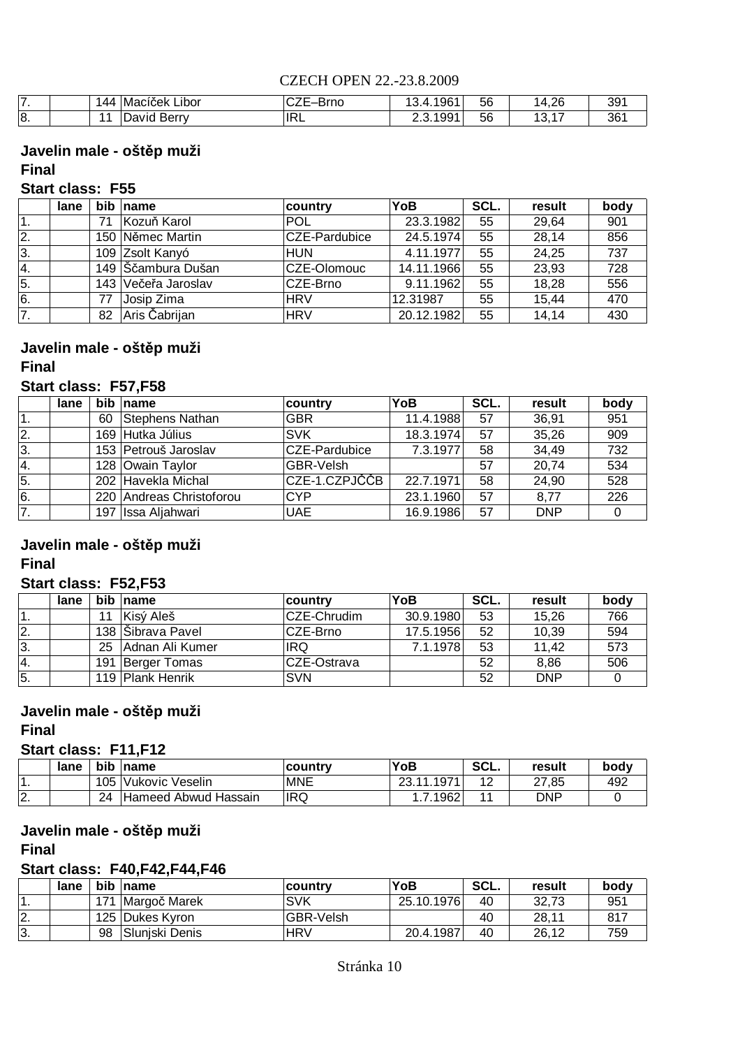| .               | 44             | $\overline{ }$<br>.<br>Libor<br>Macicek | ∙Brno<br>◡▵∟ | .4.196 <sup>4</sup><br>. ت | 56 | 14,26                                              | 391 |
|-----------------|----------------|-----------------------------------------|--------------|----------------------------|----|----------------------------------------------------|-----|
| <b>C</b><br>10. | $\overline{A}$ | Berry<br>David                          | <b>IRL</b>   | 2.3.199 <sup>4</sup>       | 56 | $\overline{\phantom{a}}$<br>$\sqrt{2}$<br>ں ا<br>. | 36  |

## **Javelin male - oštěp muži**

#### **Final**

## **Start class: F55**

|     | lane | bib | name                | country          | YoB        | SCL. | result | body             |
|-----|------|-----|---------------------|------------------|------------|------|--------|------------------|
|     |      | 71  | Kozuň Karol         | <b>POL</b>       | 23.3.1982  | 55   | 29,64  | 901              |
| 2.  |      |     | 150 Němec Martin    | CZE-Pardubice    | 24.5.1974  | 55   | 28,14  | 856              |
| 3.  |      |     | 109 Zsolt Kanyó     | <b>HUN</b>       | 4.11.1977  | 55   | 24,25  | 737              |
| l4. |      |     | 149 Sčambura Dušan  | CZE-Olomouc      | 14.11.1966 | 55   | 23,93  | $\overline{728}$ |
| 5.  |      |     | 143 Večeřa Jaroslav | <b>ICZE-Brno</b> | 9.11.1962  | 55   | 18,28  | 556              |
| 6.  |      | 77  | Josip Zima          | <b>HRV</b>       | 12.31987   | 55   | 15,44  | 470              |
| 7.  |      | 82  | Aris Čabrijan       | <b>HRV</b>       | 20.12.1982 | 55   | 14,14  | 430              |

## **Javelin male - oštěp muži**

#### **Final**

#### **Start class: F57,F58**

|    | lane |    | bib name                 | country       | YoB       | SCL. | result     | body |
|----|------|----|--------------------------|---------------|-----------|------|------------|------|
| 1. |      | 60 | Stephens Nathan          | <b>GBR</b>    | 11.4.1988 | 57   | 36,91      | 951  |
| 2. |      |    | 169 Hutka Július         | <b>SVK</b>    | 18.3.1974 | 57   | 35,26      | 909  |
| 3. |      |    | 153 Petrouš Jaroslav     | CZE-Pardubice | 7.3.1977  | 58   | 34,49      | 732  |
| 4. |      |    | 128 Owain Taylor         | GBR-Velsh     |           | 57   | 20,74      | 534  |
| 5. |      |    | 202 Havekla Michal       | CZE-1.CZPJČČB | 22.7.1971 | 58   | 24,90      | 528  |
| 6. |      |    | 220 Andreas Christoforou | <b>CYP</b>    | 23.1.1960 | 57   | 8.77       | 226  |
| 7. |      |    | 197 Issa Aljahwari       | <b>UAE</b>    | 16.9.1986 | 57   | <b>DNP</b> |      |

#### **Javelin male - oštěp muži Final**

## **Start class: F52,F53**

|     | lane |     | bib name          | <b>country</b> | YoB       | SCL. | result     | body |
|-----|------|-----|-------------------|----------------|-----------|------|------------|------|
| . . |      | 11  | Kisý Aleš         | CZE-Chrudim    | 30.9.1980 | 53   | 15,26      | 766  |
| 2.  |      |     | 138 Sibrava Pavel | CZE-Brno       | 17.5.1956 | 52   | 10,39      | 594  |
| 3.  |      | 25  | Adnan Ali Kumer   | <b>IRQ</b>     | 7.1.1978  | 53   | 11,42      | 573  |
| 4.  |      | 191 | Berger Tomas      | ICZE-Ostrava   |           | 52   | 8,86       | 506  |
| 5.  |      |     | 119 Plank Henrik  | <b>SVN</b>     |           | 52   | <b>DNP</b> |      |

## **Javelin male - oštěp muži**

**Final**

#### **Start class: F11,F12**

|                | lane | bib | $\blacksquare$ name  | ∣countrv   | YoB                   | SCL. | result | bodv |
|----------------|------|-----|----------------------|------------|-----------------------|------|--------|------|
|                |      | 105 | Vukovic Veselin      | <b>MNE</b> | .1971<br><b>02.44</b> | 12   | 27,85  | 492  |
| $\Omega$<br>z. |      | 24  | Hameed Abwud Hassain | <b>IRQ</b> | .1962                 |      | DNP    |      |

## **Javelin male - oštěp muži**

**Final**

### **Start class: F40,F42,F44,F46**

|         | lane | bib | name            | country    | YoB        | SCL. | result | bodv |
|---------|------|-----|-----------------|------------|------------|------|--------|------|
|         |      | 171 | Margoč Marek    | <b>SVK</b> | 25.10.1976 | 40   | 32.73  | 951  |
| I2.     |      |     | 125 Dukes Kyron | GBR-Velsh  |            | 40   | 28.11  | 817  |
| ി<br>.ب |      | 98  | Sluniski Denis  | <b>HRV</b> | 20.4.1987  | 40   | 26.12  | 759  |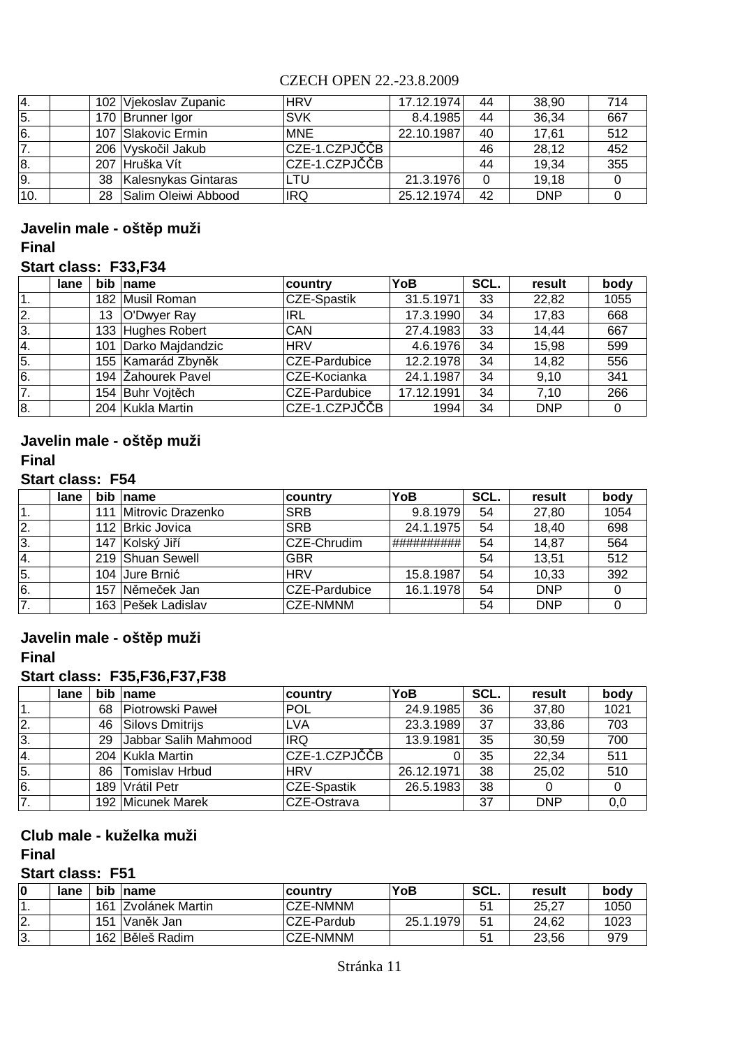| 14.  |    | 102 Vjekoslav Zupanic | <b>HRV</b>    | 17.12.1974 | 44          | 38,90      | 714 |
|------|----|-----------------------|---------------|------------|-------------|------------|-----|
| 5.   |    | 170 Brunner Igor      | <b>SVK</b>    | 8.4.1985   | 44          | 36,34      | 667 |
| 6.   |    | 107 Slakovic Ermin    | <b>MNE</b>    | 22.10.1987 | 40          | 17.61      | 512 |
| 7.   |    | 206 Vyskočil Jakub    | CZE-1.CZPJČČB |            | 46          | 28,12      | 452 |
| 8.   |    | 207 Hruška Vít        | CZE-1.CZPJČČB |            | 44          | 19,34      | 355 |
| 9.   | 38 | Kalesnykas Gintaras   | LTU           | 21.3.1976  | $\mathbf 0$ | 19,18      |     |
| '10. | 28 | Salim Oleiwi Abbood   | <b>IRQ</b>    | 25.12.1974 | 42          | <b>DNP</b> |     |

## **Final Javelin male - oštěp muži**

#### **Start class: F33,F34**

|    | lane | bib | Iname                | <b>country</b>     | YoB        | SCL. | result     | body |
|----|------|-----|----------------------|--------------------|------------|------|------------|------|
|    |      |     | 182 Musil Roman      | <b>CZE-Spastik</b> | 31.5.1971  | 33   | 22,82      | 1055 |
| 2. |      | 13  | O'Dwyer Ray          | <b>IRL</b>         | 17.3.1990  | 34   | 17,83      | 668  |
| 3. |      |     | 133 Hughes Robert    | <b>CAN</b>         | 27.4.1983  | 33   | 14,44      | 667  |
| 4. |      |     | 101 Darko Majdandzic | <b>HRV</b>         | 4.6.1976   | 34   | 15,98      | 599  |
| 5. |      |     | 155 Kamarád Zbyněk   | CZE-Pardubice      | 12.2.1978  | 34   | 14,82      | 556  |
| 6. |      |     | 194 Žahourek Pavel   | CZE-Kocianka       | 24.1.1987  | 34   | 9,10       | 341  |
| 7. |      |     | 154 Buhr Vojtěch     | CZE-Pardubice      | 17.12.1991 | 34   | 7.10       | 266  |
| 8. |      |     | 204 Kukla Martin     | CZE-1.CZPJČČB      | 1994       | 34   | <b>DNP</b> |      |

#### **Javelin male - oštěp muži Final**

#### **Start class: F54**

|    | lane |     | bib name              | ∣country        | YoB        | SCL. | result     | body |
|----|------|-----|-----------------------|-----------------|------------|------|------------|------|
| 1. |      |     | 111 Mitrovic Drazenko | <b>SRB</b>      | 9.8.1979   | 54   | 27,80      | 1054 |
| 2. |      |     | 112 Brkic Jovica      | <b>SRB</b>      | 24.1.1975  | 54   | 18,40      | 698  |
| 3. |      |     | 147 Kolský Jiří       | CZE-Chrudim     | ########## | 54   | 14,87      | 564  |
| 4. |      |     | 219 Shuan Sewell      | <b>GBR</b>      |            | 54   | 13,51      | 512  |
| 5. |      |     | 104 Jure Brnić        | <b>HRV</b>      | 15.8.1987  | 54   | 10,33      | 392  |
| 6. |      | 157 | Němeček Jan           | CZE-Pardubice   | 16.1.1978  | 54   | <b>DNP</b> |      |
| 7. |      |     | 163 Pešek Ladislav    | <b>CZE-NMNM</b> |            | 54   | <b>DNP</b> |      |

## **Javelin male - oštěp muži**

## **Final**

## **Start class: F35,F36,F37,F38**

|     | lane | <b>bib</b> | name                  | country            | YoB        | SCL. | result     | body |
|-----|------|------------|-----------------------|--------------------|------------|------|------------|------|
|     |      | 68         | Piotrowski Paweł      | <b>POL</b>         | 24.9.1985  | 36   | 37,80      | 1021 |
| 12. |      | 46         | Silovs Dmitrijs       | <b>LVA</b>         | 23.3.1989  | 37   | 33,86      | 703  |
| 3.  |      | 29         | Jabbar Salih Mahmood  | <b>IRQ</b>         | 13.9.1981  | 35   | 30,59      | 700  |
| 4.  |      |            | 204 Kukla Martin      | CZE-1.CZPJČČB      |            | 35   | 22,34      | 511  |
| 5.  |      | 86         | <b>Tomislav Hrbud</b> | <b>HRV</b>         | 26.12.1971 | 38   | 25,02      | 510  |
| l6. |      | 189        | Vrátil Petr           | <b>CZE-Spastik</b> | 26.5.1983  | 38   |            |      |
| 7.  |      |            | 192 Micunek Marek     | CZE-Ostrava        |            | 37   | <b>DNP</b> | 0,0  |

#### **Club male - kuželka muži Final**

## **Start class: F51**

| 0  | lane |     | bib name                | ∣countrv        | YoB       | SCL. | result | bodv |
|----|------|-----|-------------------------|-----------------|-----------|------|--------|------|
|    |      | 161 | <b>IZvolánek Martin</b> | <b>CZE-NMNM</b> |           | 51   | 25.27  | 1050 |
| 2. |      | 151 | Vaněk Jan               | CZE-Pardub      | 25.1.1979 | -51  | 24.62  | 1023 |
| 3. |      |     | 162 Běleš Radim         | <b>CZE-NMNM</b> |           |      | 23.56  | 979  |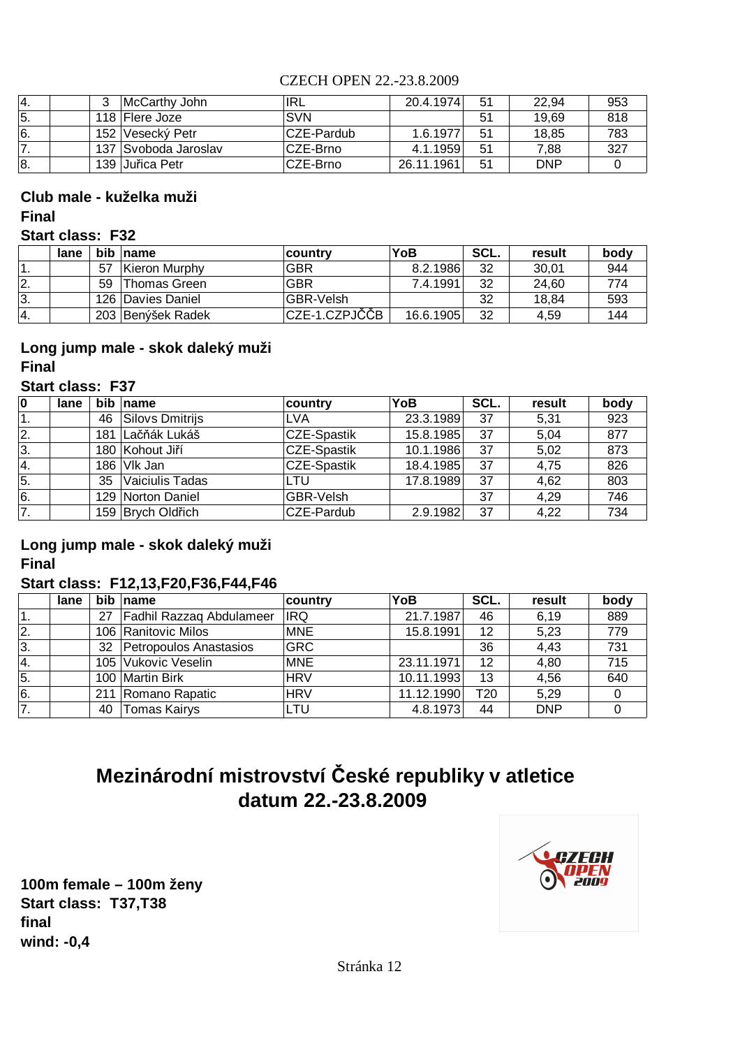| '4. | McCarthy John        | IRL        | 20.4.1974  | -51            | 22.94      | 953 |
|-----|----------------------|------------|------------|----------------|------------|-----|
| 5.  | 118 Flere Joze       | <b>SVN</b> |            | 51             | 19.69      | 818 |
| 6.  | 152 Vesecký Petr     | CZE-Pardub | 1.6.1977   | 51             | 18.85      | 783 |
|     | 137 Svoboda Jaroslav | CZE-Brno   | 4.1.1959   | 51             | 7.88       | 327 |
| Ι8. | 139 Juřica Petr      | CZE-Brno   | 26.11.1961 | 5 <sup>1</sup> | <b>DNP</b> |     |

#### **Final Club male - kuželka muži**

#### **Start class: F32**

|     | lane |    | bib name            | ∣countrv         | YoB       | SCL. | result | body |
|-----|------|----|---------------------|------------------|-----------|------|--------|------|
|     |      | 57 | Kieron Murphy       | <b>GBR</b>       | 8.2.1986  | 32   | 30,01  | 944  |
| 2.  |      | 59 | Thomas Green        | <b>GBR</b>       | 7.4.1991  | 32   | 24.60  | 774  |
| 13. |      |    | 126   Davies Daniel | <b>GBR-Velsh</b> |           | 32   | 18.84  | 593  |
| '4. |      |    | 203 Benýšek Radek   | CZE-1.CZPJČČB    | 16.6.1905 | 32   | 4.59   | 144  |

## **Long jump male - skok daleký muži Final**

## **Start class: F37**

| 0                | lane | <b>bib</b> | $\blacksquare$ name | country            | YoB       | SCL. | result | body |
|------------------|------|------------|---------------------|--------------------|-----------|------|--------|------|
| '1.              |      | 46         | Silovs Dmitrijs     | <b>LVA</b>         | 23.3.1989 | 37   | 5,31   | 923  |
| 2.               |      |            | 181 Lačňák Lukáš    | <b>CZE-Spastik</b> | 15.8.1985 | 37   | 5.04   | 877  |
| 3.               |      |            | 180 Kohout Jiří     | <b>CZE-Spastik</b> | 10.1.1986 | 37   | 5,02   | 873  |
| 4.               |      |            | 186 VIk Jan         | <b>CZE-Spastik</b> | 18.4.1985 | 37   | 4,75   | 826  |
| $\overline{5}$ . |      | 35         | Vaiciulis Tadas     | LTU                | 17.8.1989 | 37   | 4,62   | 803  |
| 6.               |      |            | 129 Norton Daniel   | GBR-Velsh          |           | 37   | 4,29   | 746  |
| 7.               |      |            | 159 Brych Oldřich   | CZE-Pardub         | 2.9.1982  | 37   | 4,22   | 734  |

### **Long jump male - skok daleký muži Final**

## **Start class: F12,13,F20,F36,F44,F46**

|               | lane |    | bib name                 | country    | YoB        | SCL.            | result     | body |
|---------------|------|----|--------------------------|------------|------------|-----------------|------------|------|
|               |      | 27 | Fadhil Razzaq Abdulameer | IRQ        | 21.7.1987  | 46              | 6,19       | 889  |
| 2.            |      |    | 106 Ranitovic Milos      | <b>MNE</b> | 15.8.1991  | 12              | 5,23       | 779  |
| 3.            |      | 32 | Petropoulos Anastasios   | <b>GRC</b> |            | 36              | 4,43       | 731  |
| <sup>4.</sup> |      |    | 105 Vukovic Veselin      | <b>MNE</b> | 23.11.1971 | 12              | 4,80       | 715  |
| 5.            |      |    | 100 Martin Birk          | <b>HRV</b> | 10.11.1993 | 13              | 4,56       | 640  |
| 6.            |      |    | 211 Romano Rapatic       | <b>HRV</b> | 11.12.1990 | T <sub>20</sub> | 5,29       |      |
| 7.            |      | 40 | <b>Tomas Kairys</b>      | LTU        | 4.8.1973   | 44              | <b>DNP</b> |      |

# **Mezinárodní mistrovství České republiky v atletice datum 22.-23.8.2009**

**final wind: -0,4 100m female – 100m ženy Start class: T37,T38**

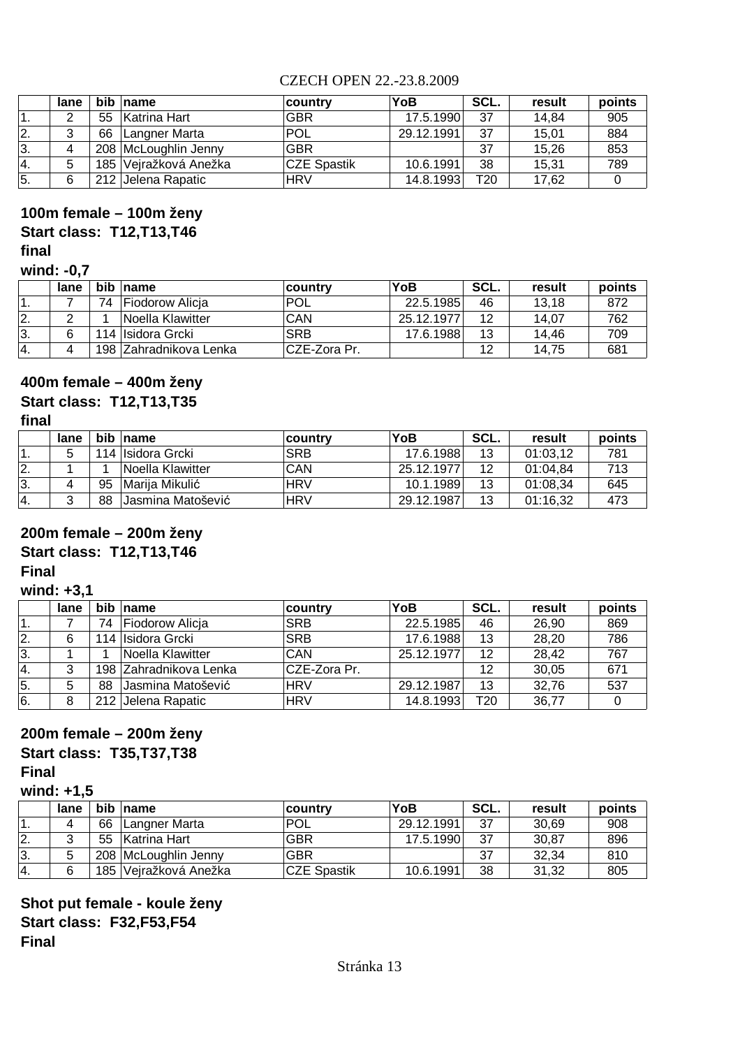|                 | lane |    | bib name              | ∣countrv           | YoB        | SCL. | result | points |
|-----------------|------|----|-----------------------|--------------------|------------|------|--------|--------|
|                 |      | 55 | Katrina Hart          | <b>GBR</b>         | 17.5.1990  | 37   | 14,84  | 905    |
| 2.              |      | 66 | Langner Marta         | POL                | 29.12.1991 | 37   | 15.01  | 884    |
| 3.              |      |    | 208 McLoughlin Jenny  | <b>GBR</b>         |            | 37   | 15.26  | 853    |
| <sup>1</sup> 4. | 5    |    | 185 Vejražková Anežka | <b>CZE Spastik</b> | 10.6.1991  | 38   | 15.31  | 789    |
| 5.              | 6    |    | 212 Jelena Rapatic    | <b>HRV</b>         | 14.8.1993  | T20  | 17.62  |        |

## **final 100m female – 100m ženy Start class: T12,T13,T46**

#### **wind: -0,7**

|                 | lane |    | bib name                | ∣country      | YoB        | SCL. | result | points |
|-----------------|------|----|-------------------------|---------------|------------|------|--------|--------|
|                 |      | 74 | Fiodorow Alicia         | 'POL          | 22.5.1985  | 46   | 13.18  | 872    |
| <u>2.</u>       |      |    | Noella Klawitter        | CAN           | 25.12.1977 | 12   | 14.07  | 762    |
| 13.             |      |    | 114 Ilsidora Grcki      | <b>SRB</b>    | 17.6.1988  | 13   | 14.46  | 709    |
| <sup>1</sup> 4. |      |    | 198 IZahradnikova Lenka | ∣CZE-Zora Pr. |            | 12   | 14.75  | 681    |

#### **400m female – 400m ženy**

## **Start class: T12,T13,T35**

#### **final**

|                 | lane |    | bib name           | <b>country</b> | YoB        | SCL. | result   | points |
|-----------------|------|----|--------------------|----------------|------------|------|----------|--------|
|                 | 5    |    | 114 Ilsidora Grcki | <b>SRB</b>     | 17.6.1988  | 13   | 01:03.12 | 781    |
| 12.             |      |    | Noella Klawitter   | CAN            | 25.12.1977 | 12   | 01:04.84 | 713    |
| 3.              |      | 95 | Marija Mikulić     | <b>HRV</b>     | 10.1.1989  | 13   | 01:08,34 | 645    |
| <sup>1</sup> 4. |      | 88 | Jasmina Matošević  | <b>HRV</b>     | 29.12.1987 | 13   | 01:16,32 | 473    |

### **200m female – 200m ženy**

## **Start class: T12,T13,T46**

### **Final**

#### **wind: +3,1**

|            | lane |    | bib name               | country      | YoB        | SCL. | result | points |
|------------|------|----|------------------------|--------------|------------|------|--------|--------|
|            |      | 74 | Fiodorow Alicja        | <b>SRB</b>   | 22.5.1985  | 46   | 26.90  | 869    |
| <u> 2.</u> |      |    | 114 Ilsidora Grcki     | <b>SRB</b>   | 17.6.1988  | 13   | 28,20  | 786    |
| 3.         |      |    | Noella Klawitter       | CAN          | 25.12.1977 | 12   | 28,42  | 767    |
| 14.        |      |    | 198 Zahradnikova Lenka | CZE-Zora Pr. |            | 12   | 30,05  | 671    |
| 5.         | 5    | 88 | Jasmina Matošević      | <b>HRV</b>   | 29.12.1987 | 13   | 32,76  | 537    |
| 6.         |      |    | 212 Jelena Rapatic     | <b>HRV</b>   | 14.8.1993  | T20  | 36,77  |        |

## **200m female – 200m ženy**

# **Start class: T35,T37,T38**

## **Final**

## **wind: +1,5**

|                | lane | <b>bib</b> | <b>Iname</b>          | country            | YoB        | SCL. | result | points |
|----------------|------|------------|-----------------------|--------------------|------------|------|--------|--------|
|                |      | 66         | Langner Marta         | <b>POL</b>         | 29.12.1991 | 37   | 30.69  | 908    |
| $\mathbf{2}$ . |      | 55         | Katrina Hart          | <b>GBR</b>         | 17.5.1990  | 37   | 30,87  | 896    |
| 3.             | 5    |            | 208 McLoughlin Jenny  | <b>GBR</b>         |            | 37   | 32,34  | 810    |
| <sup>4.</sup>  | 6    |            | 185 Vejražková Anežka | <b>CZE Spastik</b> | 10.6.1991  | 38   | 31,32  | 805    |

**Shot put female - koule ženy Start class: F32,F53,F54 Final**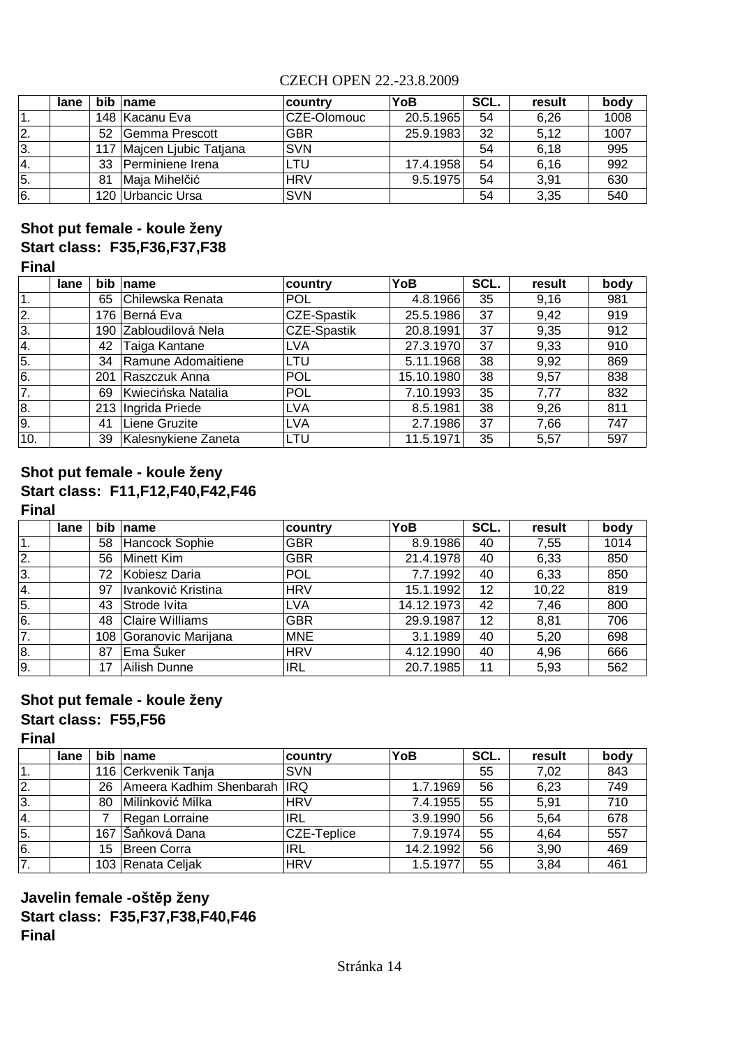|    | lane | bib | name                  | ∣countrv    | YoB       | SCL. | result | body |
|----|------|-----|-----------------------|-------------|-----------|------|--------|------|
|    |      |     | 148 Kacanu Eva        | CZE-Olomouc | 20.5.1965 | 54   | 6,26   | 1008 |
| 2. |      | 52  | <b>Gemma Prescott</b> | <b>GBR</b>  | 25.9.1983 | 32   | 5,12   | 1007 |
| 3. |      | 117 | Majcen Ljubic Tatjana | <b>SVN</b>  |           | 54   | 6,18   | 995  |
| 4. |      | 33  | Perminiene Irena      | LTU         | 17.4.1958 | 54   | 6,16   | 992  |
| 5. |      | 81  | Maja Mihelčić         | <b>HRV</b>  | 9.5.1975  | 54   | 3.91   | 630  |
| 6. |      | 120 | Urbancic Ursa         | <b>SVN</b>  |           | 54   | 3,35   | 540  |

## **Shot put female - koule ženy Start class: F35,F36,F37,F38 Final**

|     | lane | bib | name                | country            | YoB        | SCL. | result | body |
|-----|------|-----|---------------------|--------------------|------------|------|--------|------|
|     |      | 65  | Chilewska Renata    | <b>POL</b>         | 4.8.1966   | 35   | 9,16   | 981  |
| 2.  |      |     | 176 Berná Eva       | CZE-Spastik        | 25.5.1986  | 37   | 9,42   | 919  |
| 3.  |      | 190 | Zabloudilová Nela   | <b>CZE-Spastik</b> | 20.8.1991  | 37   | 9,35   | 912  |
| 4.  |      | 42  | Taiga Kantane       | LVA                | 27.3.1970  | 37   | 9,33   | 910  |
| 5.  |      | 34  | Ramune Adomaitiene  | LTU                | 5.11.1968  | 38   | 9,92   | 869  |
| 6.  |      | 201 | Raszczuk Anna       | <b>POL</b>         | 15.10.1980 | 38   | 9,57   | 838  |
| 7.  |      | 69  | Kwiecińska Natalia  | POL                | 7.10.1993  | 35   | 7,77   | 832  |
| 8.  |      |     | 213 Ingrida Priede  | LVA                | 8.5.1981   | 38   | 9,26   | 811  |
| 9.  |      | 41  | Liene Gruzite       | LVA                | 2.7.1986   | 37   | 7,66   | 747  |
| 10. |      | 39  | Kalesnykiene Zaneta | <b>LTU</b>         | 11.5.1971  | 35   | 5,57   | 597  |

#### **Start class: F11,F12,F40,F42,F46 Final Shot put female - koule ženy**

|    | lane | bib | name                   | country    | YoB        | SCL. | result | body |
|----|------|-----|------------------------|------------|------------|------|--------|------|
| 1. |      | 58  | Hancock Sophie         | <b>GBR</b> | 8.9.1986   | 40   | 7,55   | 1014 |
| 2. |      | 56  | Minett Kim             | <b>GBR</b> | 21.4.1978  | 40   | 6,33   | 850  |
| 3. |      | 72  | Kobiesz Daria          | POL        | 7.7.1992   | 40   | 6,33   | 850  |
| 4. |      | 97  | Ivanković Kristina     | <b>HRV</b> | 15.1.1992  | 12   | 10,22  | 819  |
| 5. |      | 43  | Strode Ivita           | <b>LVA</b> | 14.12.1973 | 42   | 7,46   | 800  |
| 6. |      | 48  | <b>Claire Williams</b> | <b>GBR</b> | 29.9.1987  | 12   | 8,81   | 706  |
| 7. |      | 108 | Goranovic Marijana     | <b>MNE</b> | 3.1.1989   | 40   | 5,20   | 698  |
| 8. |      | 87  | Ema Šuker              | <b>HRV</b> | 4.12.1990  | 40   | 4,96   | 666  |
| 9. |      | 17  | Ailish Dunne           | <b>IRL</b> | 20.7.1985  | 11   | 5,93   | 562  |

### **Shot put female - koule ženy Start class: F55,F56**

**Final**

|    | lane |     | bib name                | country     | YoB       | SCL. | result | body |
|----|------|-----|-------------------------|-------------|-----------|------|--------|------|
| 1. |      |     | 116 Cerkvenik Tanja     | <b>SVN</b>  |           | 55   | 7,02   | 843  |
| 2. |      | 26  | Ameera Kadhim Shenbarah | <b>IRQ</b>  | 1.7.1969  | 56   | 6,23   | 749  |
| 3. |      | 80  | Milinković Milka        | <b>HRV</b>  | 7.4.1955  | 55   | 5,91   | 710  |
| 4. |      |     | Regan Lorraine          | IRL         | 3.9.1990  | 56   | 5.64   | 678  |
| 5. |      | 167 | Šaňková Dana            | CZE-Teplice | 7.9.1974  | 55   | 4,64   | 557  |
| 6. |      | 15  | Breen Corra             | IRL         | 14.2.1992 | 56   | 3,90   | 469  |
| 7. |      |     | 103 Renata Celjak       | <b>HRV</b>  | 1.5.1977  | 55   | 3,84   | 461  |

## **Javelin female -oštěp ženy Start class: F35,F37,F38,F40,F46 Final**